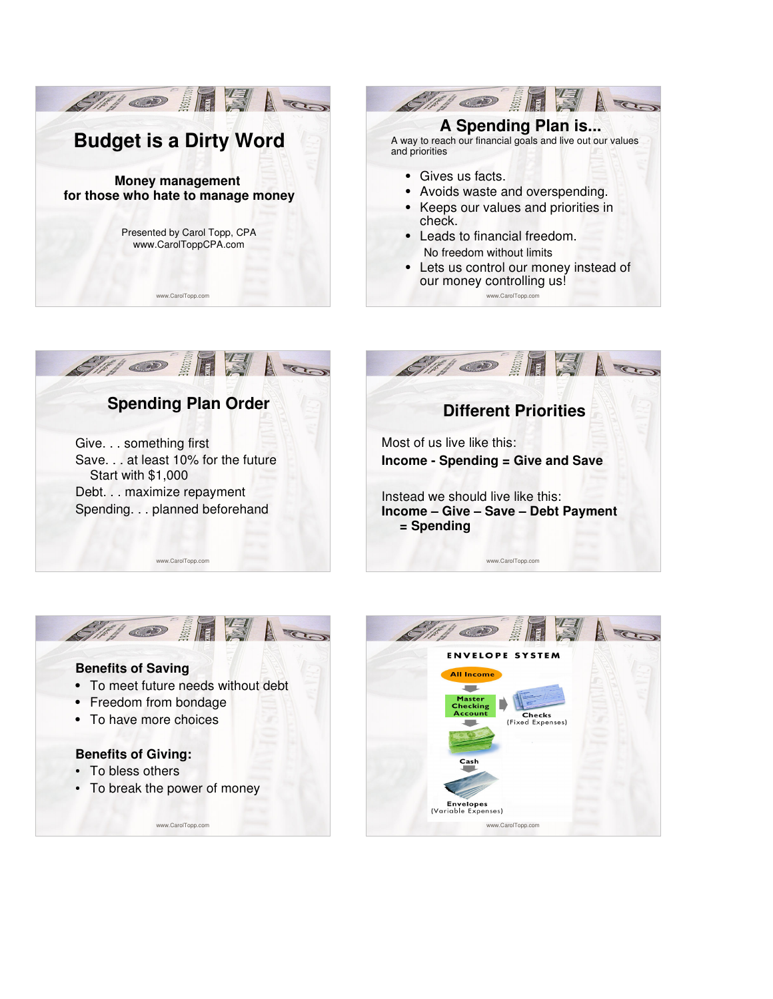



## **Spending Plan Order**

Give. . . something first Save. . . at least 10% for the future Start with \$1,000 Debt. . . maximize repayment Spending. . . planned beforehand

www.CarolTopp.com





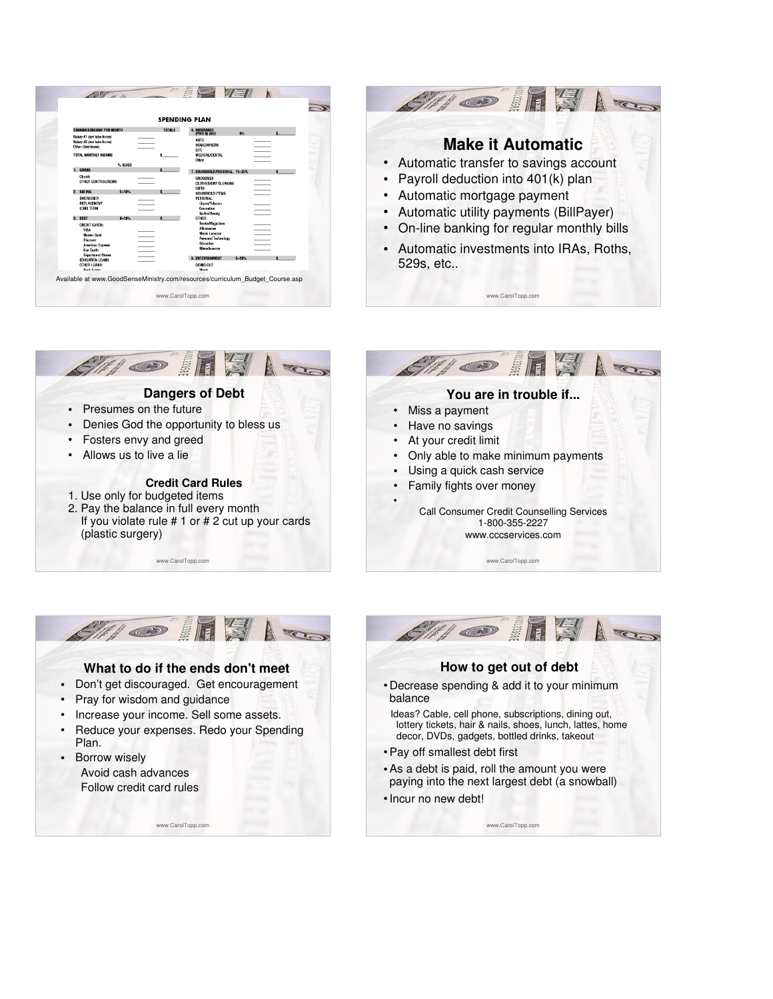







www.CarolTopp.com